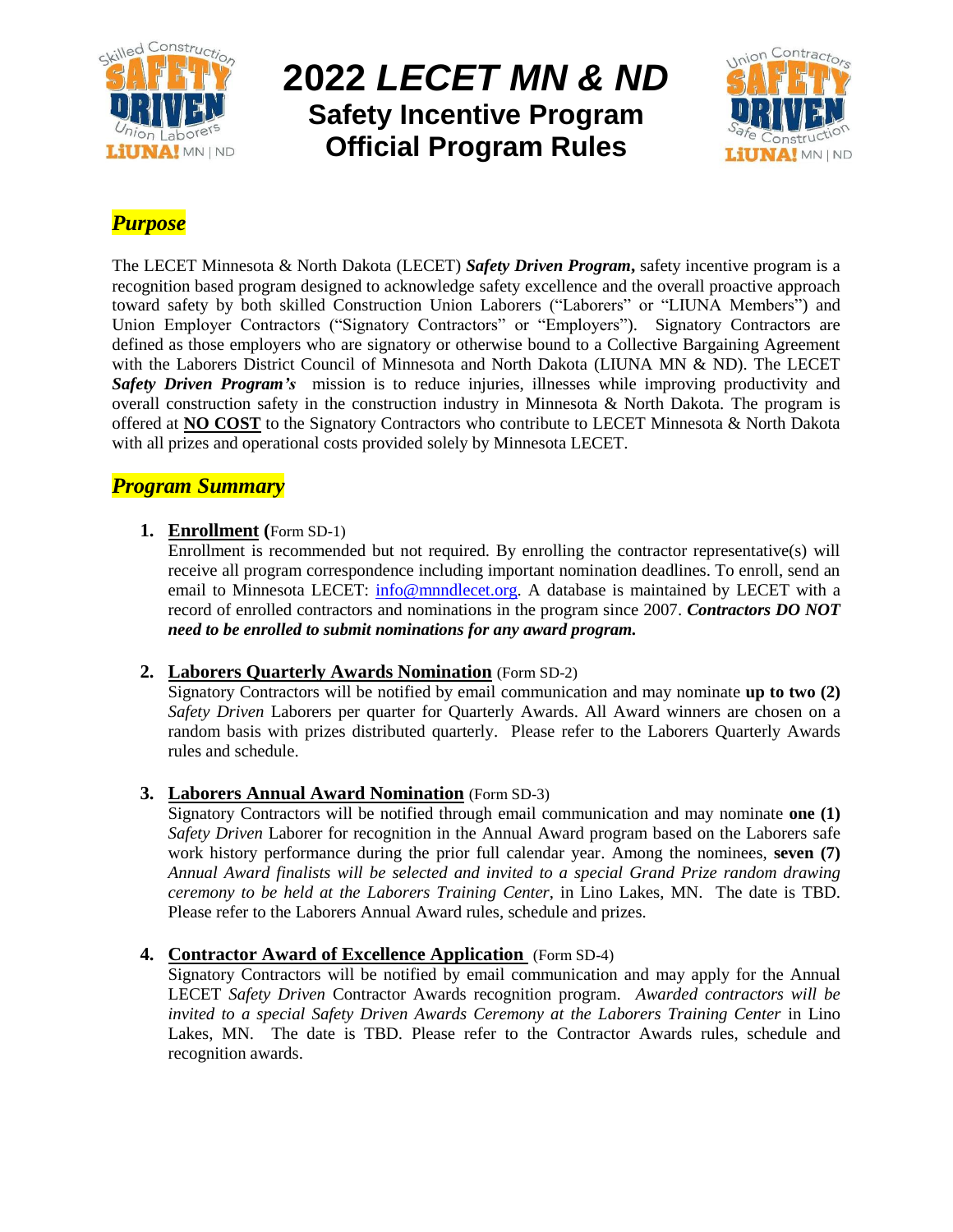

# **2022** *LECET MN & ND* **Safety Incentive Program Official Program Rules**



# *Purpose*

The LECET Minnesota & North Dakota (LECET) *Safety Driven Program***,** safety incentive program is a recognition based program designed to acknowledge safety excellence and the overall proactive approach toward safety by both skilled Construction Union Laborers ("Laborers" or "LIUNA Members") and Union Employer Contractors ("Signatory Contractors" or "Employers"). Signatory Contractors are defined as those employers who are signatory or otherwise bound to a Collective Bargaining Agreement with the Laborers District Council of Minnesota and North Dakota (LIUNA MN & ND). The LECET *Safety Driven Program's* mission is to reduce injuries, illnesses while improving productivity and overall construction safety in the construction industry in Minnesota & North Dakota. The program is offered at **NO COST** to the Signatory Contractors who contribute to LECET Minnesota & North Dakota with all prizes and operational costs provided solely by Minnesota LECET.

# *Program Summary*

## **1. Enrollment (**Form SD-1)

Enrollment is recommended but not required. By enrolling the contractor representative(s) will receive all program correspondence including important nomination deadlines. To enroll, send an email to Minnesota LECET: [info@mnndlecet.org.](mailto:info@mnndlecet.org) A database is maintained by LECET with a record of enrolled contractors and nominations in the program since 2007. *Contractors DO NOT need to be enrolled to submit nominations for any award program.*

## **2. Laborers Quarterly Awards Nomination** (Form SD-2)

Signatory Contractors will be notified by email communication and may nominate **up to two (2)** *Safety Driven* Laborers per quarter for Quarterly Awards. All Award winners are chosen on a random basis with prizes distributed quarterly. Please refer to the Laborers Quarterly Awards rules and schedule.

## **3. Laborers Annual Award Nomination** (Form SD-3)

Signatory Contractors will be notified through email communication and may nominate **one (1)** *Safety Driven* Laborer for recognition in the Annual Award program based on the Laborers safe work history performance during the prior full calendar year. Among the nominees, **seven (7)** *Annual Award finalists will be selected and invited to a special Grand Prize random drawing ceremony to be held at the Laborers Training Center*, in Lino Lakes, MN. The date is TBD. Please refer to the Laborers Annual Award rules, schedule and prizes.

## **4. Contractor Award of Excellence Application** (Form SD-4)

Signatory Contractors will be notified by email communication and may apply for the Annual LECET *Safety Driven* Contractor Awards recognition program. *Awarded contractors will be invited to a special Safety Driven Awards Ceremony at the Laborers Training Center in Lino* Lakes, MN. The date is TBD. Please refer to the Contractor Awards rules, schedule and recognition awards.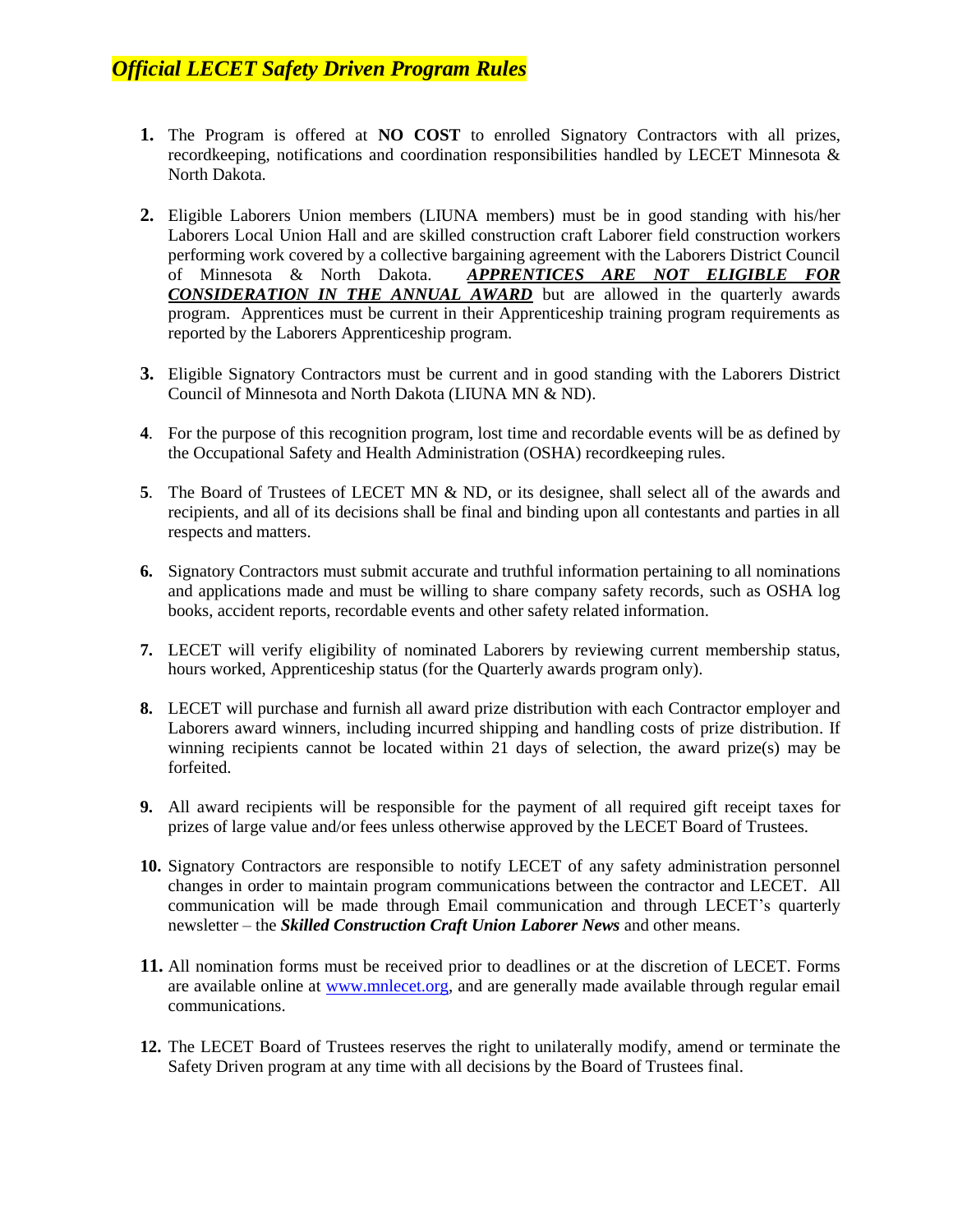- **1.** The Program is offered at **NO COST** to enrolled Signatory Contractors with all prizes, recordkeeping, notifications and coordination responsibilities handled by LECET Minnesota & North Dakota.
- **2.** Eligible Laborers Union members (LIUNA members) must be in good standing with his/her Laborers Local Union Hall and are skilled construction craft Laborer field construction workers performing work covered by a collective bargaining agreement with the Laborers District Council of Minnesota & North Dakota. *APPRENTICES ARE NOT ELIGIBLE FOR CONSIDERATION IN THE ANNUAL AWARD* but are allowed in the quarterly awards program. Apprentices must be current in their Apprenticeship training program requirements as reported by the Laborers Apprenticeship program.
- **3.** Eligible Signatory Contractors must be current and in good standing with the Laborers District Council of Minnesota and North Dakota (LIUNA MN & ND).
- **4**. For the purpose of this recognition program, lost time and recordable events will be as defined by the Occupational Safety and Health Administration (OSHA) recordkeeping rules.
- **5**. The Board of Trustees of LECET MN & ND, or its designee, shall select all of the awards and recipients, and all of its decisions shall be final and binding upon all contestants and parties in all respects and matters.
- **6.** Signatory Contractors must submit accurate and truthful information pertaining to all nominations and applications made and must be willing to share company safety records, such as OSHA log books, accident reports, recordable events and other safety related information.
- **7.** LECET will verify eligibility of nominated Laborers by reviewing current membership status, hours worked, Apprenticeship status (for the Quarterly awards program only).
- **8.** LECET will purchase and furnish all award prize distribution with each Contractor employer and Laborers award winners, including incurred shipping and handling costs of prize distribution. If winning recipients cannot be located within 21 days of selection, the award prize(s) may be forfeited.
- **9.** All award recipients will be responsible for the payment of all required gift receipt taxes for prizes of large value and/or fees unless otherwise approved by the LECET Board of Trustees.
- **10.** Signatory Contractors are responsible to notify LECET of any safety administration personnel changes in order to maintain program communications between the contractor and LECET. All communication will be made through Email communication and through LECET's quarterly newsletter – the *Skilled Construction Craft Union Laborer News* and other means.
- **11.** All nomination forms must be received prior to deadlines or at the discretion of LECET. Forms are available online at [www.mnlecet.org,](http://www.mnlecet.org/) and are generally made available through regular email communications.
- **12.** The LECET Board of Trustees reserves the right to unilaterally modify, amend or terminate the Safety Driven program at any time with all decisions by the Board of Trustees final.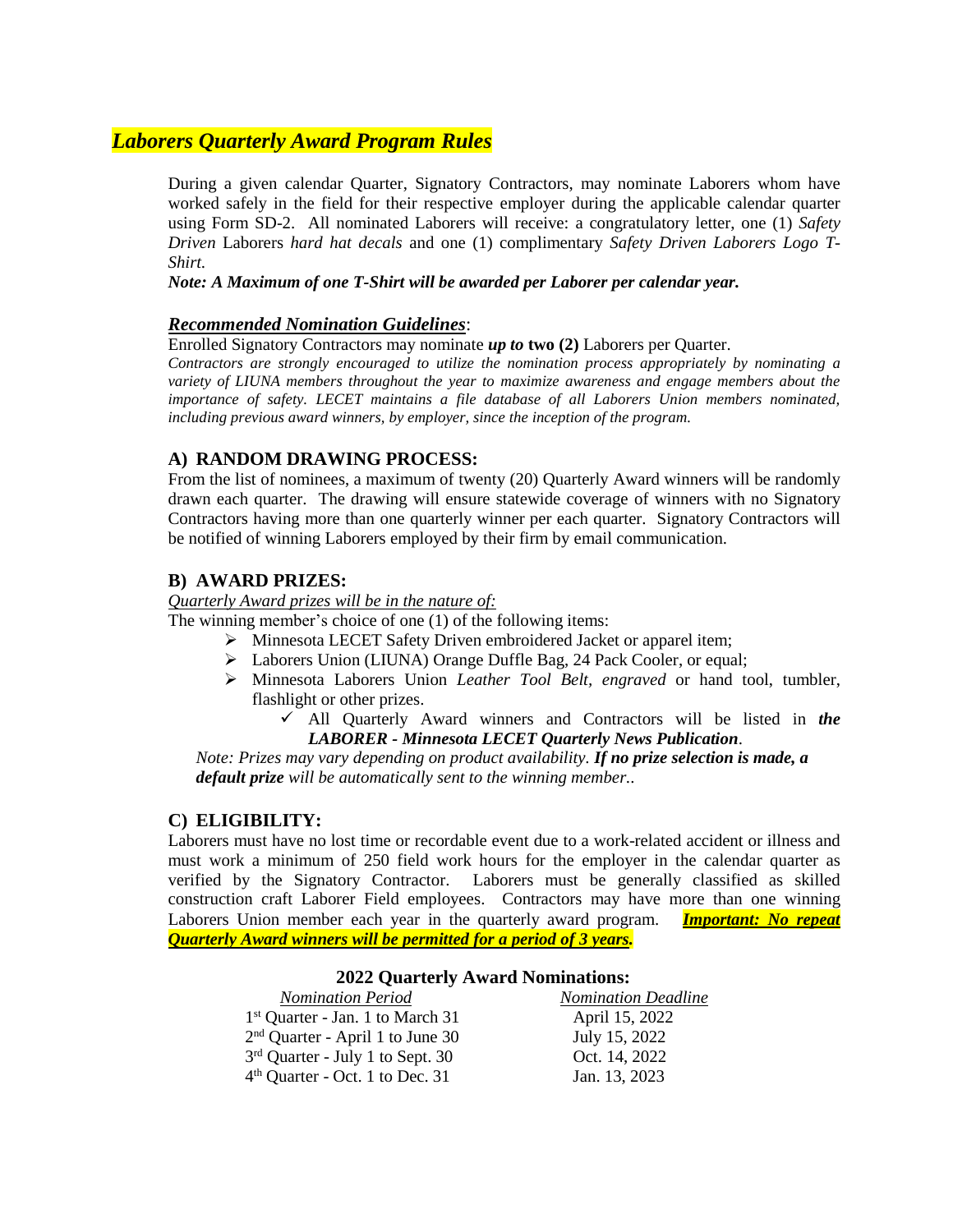# *Laborers Quarterly Award Program Rules*

During a given calendar Quarter, Signatory Contractors, may nominate Laborers whom have worked safely in the field for their respective employer during the applicable calendar quarter using Form SD-2. All nominated Laborers will receive: a congratulatory letter, one (1) *Safety Driven* Laborers *hard hat decals* and one (1) complimentary *Safety Driven Laborers Logo T-Shirt.*

#### *Note: A Maximum of one T-Shirt will be awarded per Laborer per calendar year.*

### *Recommended Nomination Guidelines*:

Enrolled Signatory Contractors may nominate *up to* **two (2)** Laborers per Quarter.

*Contractors are strongly encouraged to utilize the nomination process appropriately by nominating a variety of LIUNA members throughout the year to maximize awareness and engage members about the importance of safety. LECET maintains a file database of all Laborers Union members nominated, including previous award winners, by employer, since the inception of the program.*

### **A) RANDOM DRAWING PROCESS:**

From the list of nominees, a maximum of twenty (20) Quarterly Award winners will be randomly drawn each quarter. The drawing will ensure statewide coverage of winners with no Signatory Contractors having more than one quarterly winner per each quarter. Signatory Contractors will be notified of winning Laborers employed by their firm by email communication.

### **B) AWARD PRIZES:**

*Quarterly Award prizes will be in the nature of:*

The winning member's choice of one (1) of the following items:

- Minnesota LECET Safety Driven embroidered Jacket or apparel item;
- Laborers Union (LIUNA) Orange Duffle Bag, 24 Pack Cooler, or equal;
- Minnesota Laborers Union *Leather Tool Belt, engraved* or hand tool, tumbler, flashlight or other prizes.
	- All Quarterly Award winners and Contractors will be listed in *the LABORER - Minnesota LECET Quarterly News Publication*.

*Note: Prizes may vary depending on product availability. If no prize selection is made, a default prize will be automatically sent to the winning member..*

#### **C) ELIGIBILITY:**

Laborers must have no lost time or recordable event due to a work-related accident or illness and must work a minimum of 250 field work hours for the employer in the calendar quarter as verified by the Signatory Contractor. Laborers must be generally classified as skilled construction craft Laborer Field employees. Contractors may have more than one winning Laborers Union member each year in the quarterly award program. *Important: No repeat Quarterly Award winners will be permitted for a period of 3 years.*

#### **2022 Quarterly Award Nominations:**

| <b>Nomination Period</b>                     | <b>Nomination Deadline</b> |
|----------------------------------------------|----------------------------|
| 1 <sup>st</sup> Quarter - Jan. 1 to March 31 | April 15, 2022             |
| $2nd$ Quarter - April 1 to June 30           | July 15, 2022              |
| 3 <sup>rd</sup> Quarter - July 1 to Sept. 30 | Oct. 14, 2022              |
| $4th$ Quarter - Oct. 1 to Dec. 31            | Jan. 13, 2023              |
|                                              |                            |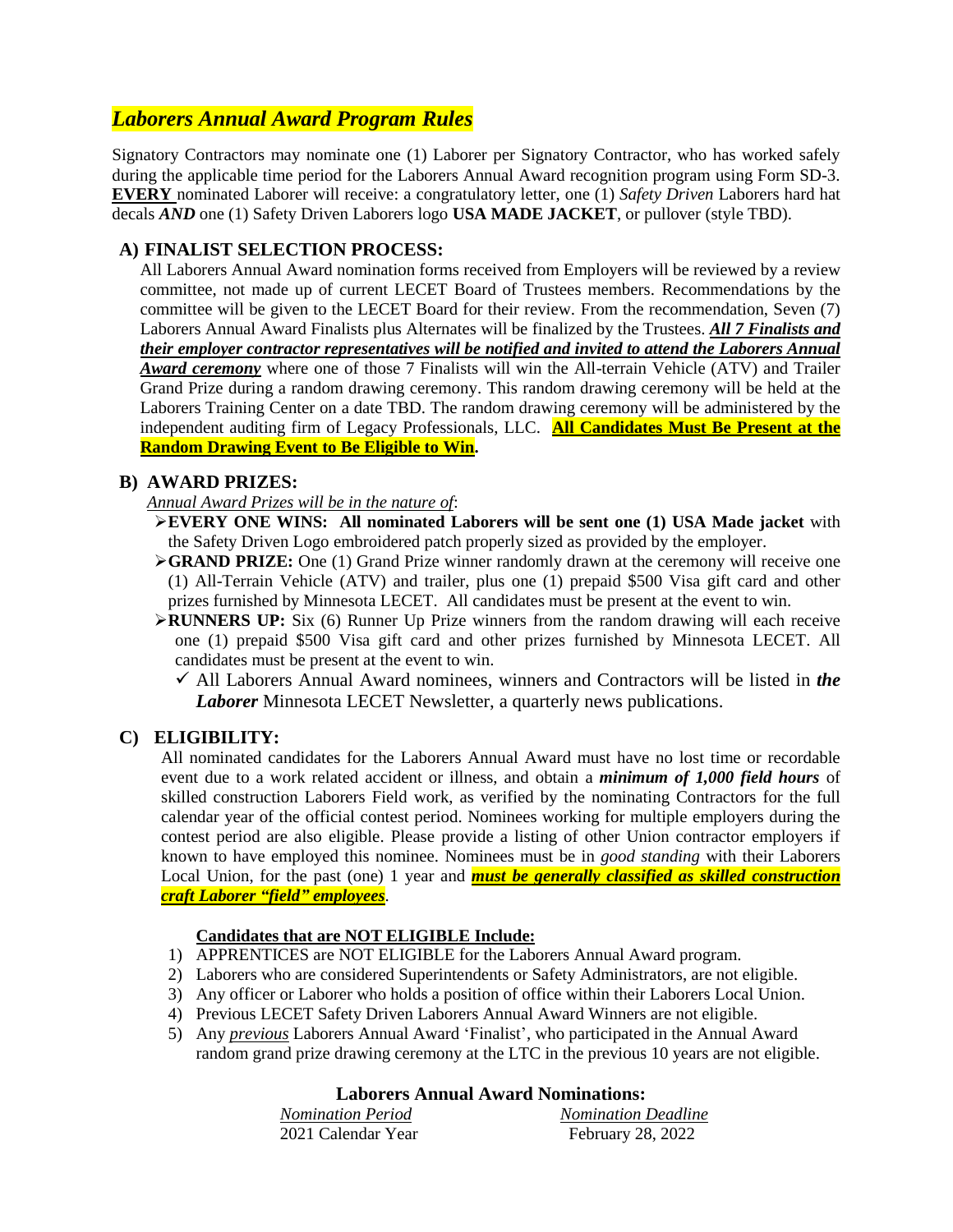# *Laborers Annual Award Program Rules*

Signatory Contractors may nominate one (1) Laborer per Signatory Contractor, who has worked safely during the applicable time period for the Laborers Annual Award recognition program using Form SD-3. **EVERY** nominated Laborer will receive: a congratulatory letter, one (1) *Safety Driven* Laborers hard hat decals *AND* one (1) Safety Driven Laborers logo **USA MADE JACKET**, or pullover (style TBD).

### **A) FINALIST SELECTION PROCESS:**

All Laborers Annual Award nomination forms received from Employers will be reviewed by a review committee, not made up of current LECET Board of Trustees members. Recommendations by the committee will be given to the LECET Board for their review. From the recommendation, Seven (7) Laborers Annual Award Finalists plus Alternates will be finalized by the Trustees. *All 7 Finalists and their employer contractor representatives will be notified and invited to attend the Laborers Annual Award ceremony* where one of those 7 Finalists will win the All-terrain Vehicle (ATV) and Trailer Grand Prize during a random drawing ceremony. This random drawing ceremony will be held at the Laborers Training Center on a date TBD. The random drawing ceremony will be administered by the independent auditing firm of Legacy Professionals, LLC. **All Candidates Must Be Present at the Random Drawing Event to Be Eligible to Win.**

### **B) AWARD PRIZES:**

*Annual Award Prizes will be in the nature of*:

- **EVERY ONE WINS: All nominated Laborers will be sent one (1) USA Made jacket** with the Safety Driven Logo embroidered patch properly sized as provided by the employer.
- **GRAND PRIZE:** One (1) Grand Prize winner randomly drawn at the ceremony will receive one (1) All-Terrain Vehicle (ATV) and trailer, plus one (1) prepaid \$500 Visa gift card and other prizes furnished by Minnesota LECET. All candidates must be present at the event to win.
- **RUNNERS UP:** Six (6) Runner Up Prize winners from the random drawing will each receive one (1) prepaid \$500 Visa gift card and other prizes furnished by Minnesota LECET. All candidates must be present at the event to win.
	- $\checkmark$  All Laborers Annual Award nominees, winners and Contractors will be listed in *the Laborer* Minnesota LECET Newsletter, a quarterly news publications.

### **C) ELIGIBILITY:**

All nominated candidates for the Laborers Annual Award must have no lost time or recordable event due to a work related accident or illness, and obtain a *minimum of 1,000 field hours* of skilled construction Laborers Field work, as verified by the nominating Contractors for the full calendar year of the official contest period. Nominees working for multiple employers during the contest period are also eligible. Please provide a listing of other Union contractor employers if known to have employed this nominee. Nominees must be in *good standing* with their Laborers Local Union, for the past (one) 1 year and *must be generally classified as skilled construction craft Laborer "field" employees*.

### **Candidates that are NOT ELIGIBLE Include:**

- 1) APPRENTICES are NOT ELIGIBLE for the Laborers Annual Award program.
- 2) Laborers who are considered Superintendents or Safety Administrators, are not eligible.
- 3) Any officer or Laborer who holds a position of office within their Laborers Local Union.
- 4) Previous LECET Safety Driven Laborers Annual Award Winners are not eligible.
- 5) Any *previous* Laborers Annual Award 'Finalist', who participated in the Annual Award random grand prize drawing ceremony at the LTC in the previous 10 years are not eligible.

### **Laborers Annual Award Nominations:**

| <b>Nomination Period</b> | <b>Nomination Deadline</b> |
|--------------------------|----------------------------|
| 2021 Calendar Year       | February 28, 2022          |